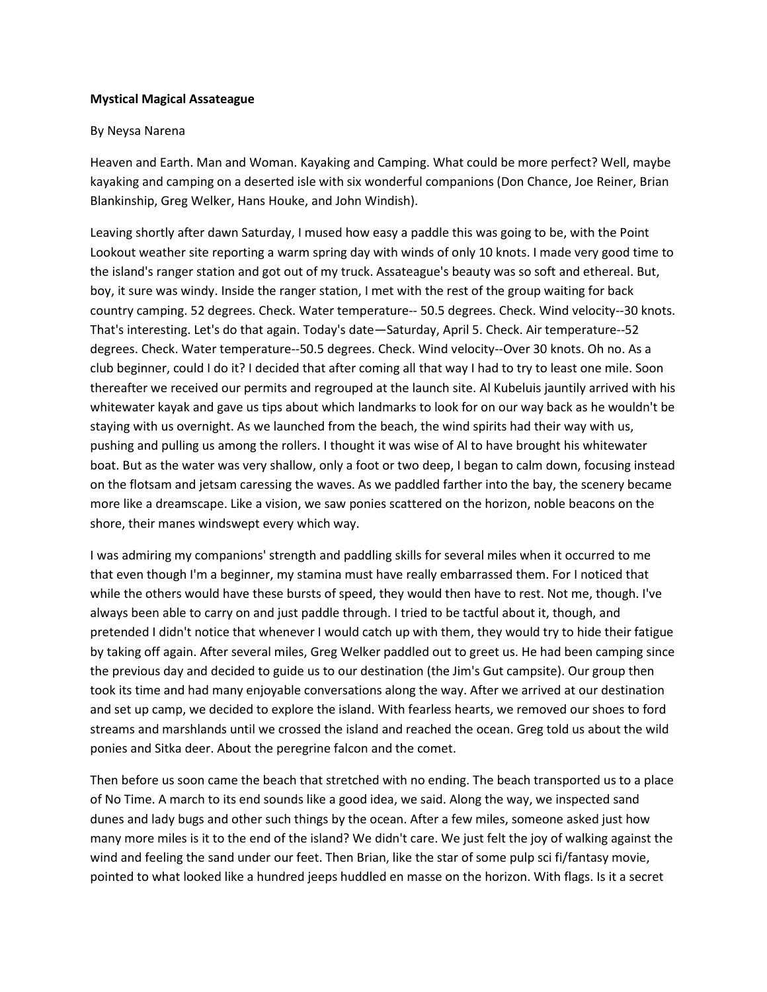## **Mystical Magical Assateague**

## By Neysa Narena

Heaven and Earth. Man and Woman. Kayaking and Camping. What could be more perfect? Well, maybe kayaking and camping on a deserted isle with six wonderful companions (Don Chance, Joe Reiner, Brian Blankinship, Greg Welker, Hans Houke, and John Windish).

Leaving shortly after dawn Saturday, I mused how easy a paddle this was going to be, with the Point Lookout weather site reporting a warm spring day with winds of only 10 knots. I made very good time to the island's ranger station and got out of my truck. Assateague's beauty was so soft and ethereal. But, boy, it sure was windy. Inside the ranger station, I met with the rest of the group waiting for back country camping. 52 degrees. Check. Water temperature-- 50.5 degrees. Check. Wind velocity--30 knots. That's interesting. Let's do that again. Today's date—Saturday, April 5. Check. Air temperature--52 degrees. Check. Water temperature--50.5 degrees. Check. Wind velocity--Over 30 knots. Oh no. As a club beginner, could I do it? I decided that after coming all that way I had to try to least one mile. Soon thereafter we received our permits and regrouped at the launch site. Al Kubeluis jauntily arrived with his whitewater kayak and gave us tips about which landmarks to look for on our way back as he wouldn't be staying with us overnight. As we launched from the beach, the wind spirits had their way with us, pushing and pulling us among the rollers. I thought it was wise of Al to have brought his whitewater boat. But as the water was very shallow, only a foot or two deep, I began to calm down, focusing instead on the flotsam and jetsam caressing the waves. As we paddled farther into the bay, the scenery became more like a dreamscape. Like a vision, we saw ponies scattered on the horizon, noble beacons on the shore, their manes windswept every which way.

I was admiring my companions' strength and paddling skills for several miles when it occurred to me that even though I'm a beginner, my stamina must have really embarrassed them. For I noticed that while the others would have these bursts of speed, they would then have to rest. Not me, though. I've always been able to carry on and just paddle through. I tried to be tactful about it, though, and pretended I didn't notice that whenever I would catch up with them, they would try to hide their fatigue by taking off again. After several miles, Greg Welker paddled out to greet us. He had been camping since the previous day and decided to guide us to our destination (the Jim's Gut campsite). Our group then took its time and had many enjoyable conversations along the way. After we arrived at our destination and set up camp, we decided to explore the island. With fearless hearts, we removed our shoes to ford streams and marshlands until we crossed the island and reached the ocean. Greg told us about the wild ponies and Sitka deer. About the peregrine falcon and the comet.

Then before us soon came the beach that stretched with no ending. The beach transported us to a place of No Time. A march to its end sounds like a good idea, we said. Along the way, we inspected sand dunes and lady bugs and other such things by the ocean. After a few miles, someone asked just how many more miles is it to the end of the island? We didn't care. We just felt the joy of walking against the wind and feeling the sand under our feet. Then Brian, like the star of some pulp sci fi/fantasy movie, pointed to what looked like a hundred jeeps huddled en masse on the horizon. With flags. Is it a secret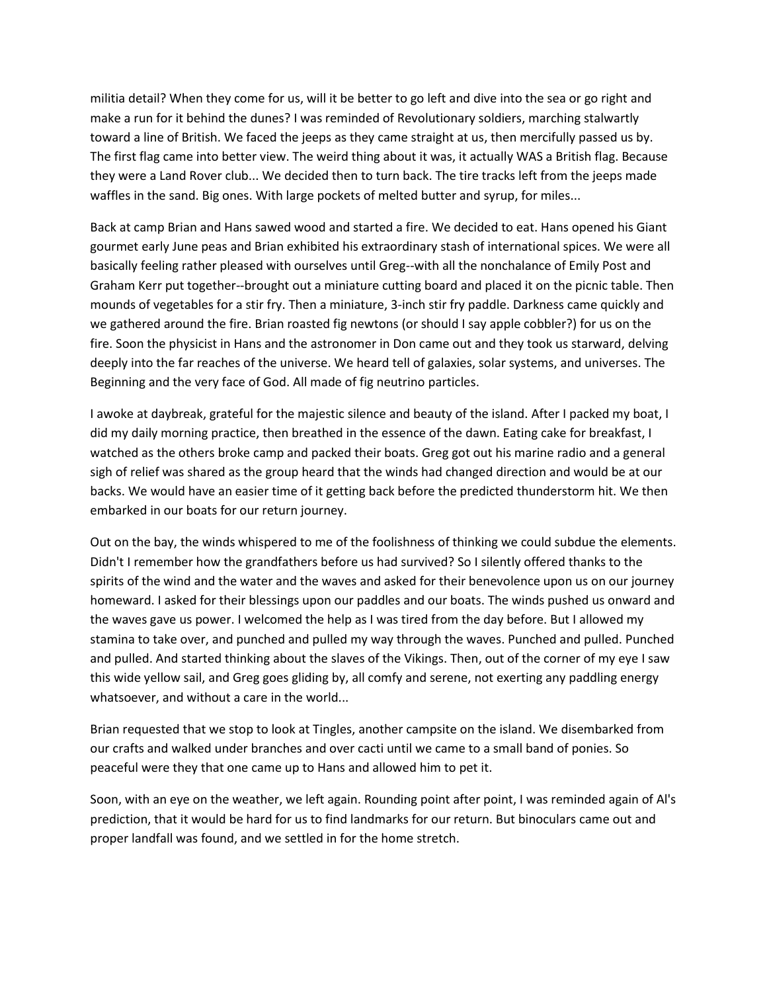militia detail? When they come for us, will it be better to go left and dive into the sea or go right and make a run for it behind the dunes? I was reminded of Revolutionary soldiers, marching stalwartly toward a line of British. We faced the jeeps as they came straight at us, then mercifully passed us by. The first flag came into better view. The weird thing about it was, it actually WAS a British flag. Because they were a Land Rover club... We decided then to turn back. The tire tracks left from the jeeps made waffles in the sand. Big ones. With large pockets of melted butter and syrup, for miles...

Back at camp Brian and Hans sawed wood and started a fire. We decided to eat. Hans opened his Giant gourmet early June peas and Brian exhibited his extraordinary stash of international spices. We were all basically feeling rather pleased with ourselves until Greg--with all the nonchalance of Emily Post and Graham Kerr put together--brought out a miniature cutting board and placed it on the picnic table. Then mounds of vegetables for a stir fry. Then a miniature, 3-inch stir fry paddle. Darkness came quickly and we gathered around the fire. Brian roasted fig newtons (or should I say apple cobbler?) for us on the fire. Soon the physicist in Hans and the astronomer in Don came out and they took us starward, delving deeply into the far reaches of the universe. We heard tell of galaxies, solar systems, and universes. The Beginning and the very face of God. All made of fig neutrino particles.

I awoke at daybreak, grateful for the majestic silence and beauty of the island. After I packed my boat, I did my daily morning practice, then breathed in the essence of the dawn. Eating cake for breakfast, I watched as the others broke camp and packed their boats. Greg got out his marine radio and a general sigh of relief was shared as the group heard that the winds had changed direction and would be at our backs. We would have an easier time of it getting back before the predicted thunderstorm hit. We then embarked in our boats for our return journey.

Out on the bay, the winds whispered to me of the foolishness of thinking we could subdue the elements. Didn't I remember how the grandfathers before us had survived? So I silently offered thanks to the spirits of the wind and the water and the waves and asked for their benevolence upon us on our journey homeward. I asked for their blessings upon our paddles and our boats. The winds pushed us onward and the waves gave us power. I welcomed the help as I was tired from the day before. But I allowed my stamina to take over, and punched and pulled my way through the waves. Punched and pulled. Punched and pulled. And started thinking about the slaves of the Vikings. Then, out of the corner of my eye I saw this wide yellow sail, and Greg goes gliding by, all comfy and serene, not exerting any paddling energy whatsoever, and without a care in the world...

Brian requested that we stop to look at Tingles, another campsite on the island. We disembarked from our crafts and walked under branches and over cacti until we came to a small band of ponies. So peaceful were they that one came up to Hans and allowed him to pet it.

Soon, with an eye on the weather, we left again. Rounding point after point, I was reminded again of Al's prediction, that it would be hard for us to find landmarks for our return. But binoculars came out and proper landfall was found, and we settled in for the home stretch.